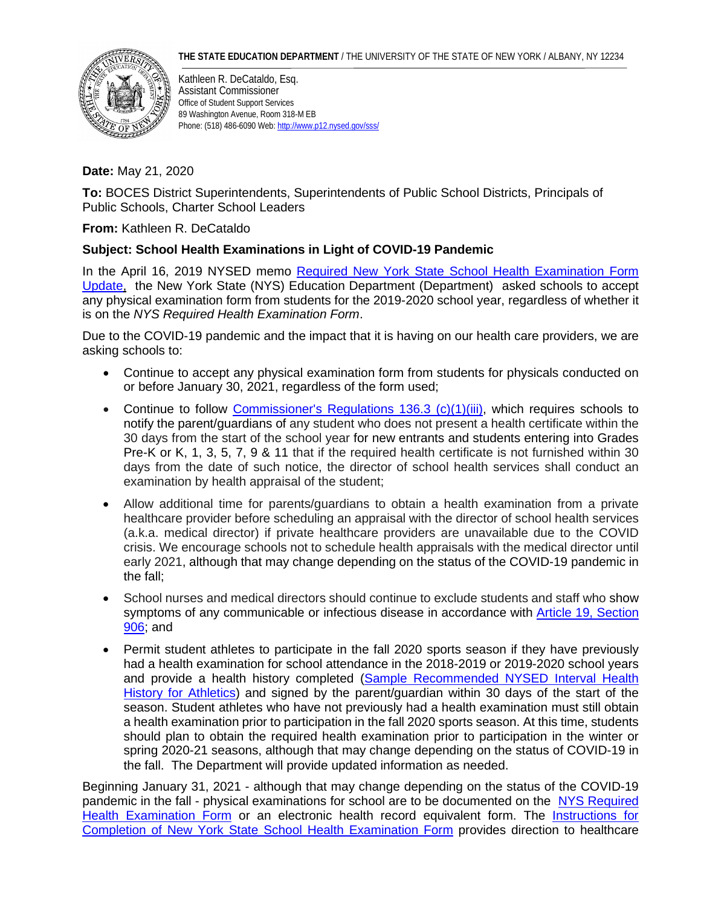

Kathleen R. DeCataldo, Esq. Assistant Commissioner Office of Student Support Services 89 Washington Avenue, Room 318-M EB Phone: (518) 486-6090 Web[: http://www.p12.nysed.gov/sss/](http://www.p12.nysed.gov/sss/)

## **Date:** May 21, 2020

**To:** BOCES District Superintendents, Superintendents of Public School Districts, Principals of Public Schools, Charter School Leaders

**From:** Kathleen R. DeCataldo

## **Subject: School Health Examinations in Light of COVID-19 Pandemic**

In the April 16, 2019 NYSED memo [Required New York State School Health Examination Form](http://www.p12.nysed.gov/sss/documents/Health%20Form%20Memo%204-16-19_.pdf)  [Update,](http://www.p12.nysed.gov/sss/documents/Health%20Form%20Memo%204-16-19_.pdf) the New York State (NYS) Education Department (Department) asked schools to accept any physical examination form from students for the 2019-2020 school year, regardless of whether it is on the *NYS Required Health Examination Form*.

Due to the COVID-19 pandemic and the impact that it is having on our health care providers, we are asking schools to:

- Continue to accept any physical examination form from students for physicals conducted on or before January 30, 2021, regardless of the form used;
- Continue to follow [Commissioner's Regulations 136.3 \(c\)\(1\)\(iii\),](https://govt.westlaw.com/nycrr/Document/I365c05e4c22211ddb29d8bee567fca9f?transitionType=Default&contextData=%28sc.Default%29) which requires schools to notify the parent/guardians of any student who does not present a health certificate within the 30 days from the start of the school year for new entrants and students entering into Grades Pre-K or K, 1, 3, 5, 7, 9 & 11 that if the required health certificate is not furnished within 30 days from the date of such notice, the director of school health services shall conduct an examination by health appraisal of the student;
- Allow additional time for parents/guardians to obtain a health examination from a private healthcare provider before scheduling an appraisal with the director of school health services (a.k.a. medical director) if private healthcare providers are unavailable due to the COVID crisis. We encourage schools not to schedule health appraisals with the medical director until early 2021, although that may change depending on the status of the COVID-19 pandemic in the fall;
- School nurses and medical directors should continue to exclude students and staff who show symptoms of any communicable or infectious disease in accordance with [Article 19,](http://www.p12.nysed.gov/sss/schoolhealth/schoolhealthservices/Article19Sections.html%23906;) Section [906;](http://www.p12.nysed.gov/sss/schoolhealth/schoolhealthservices/Article19Sections.html%23906;) and
- Permit student athletes to participate in the fall 2020 sports season if they have previously had a health examination for school attendance in the 2018-2019 or 2019-2020 school years and provide a health history completed [\(Sample Recommended NYSED Interval Health](http://www.p12.nysed.gov/sss/documents/IntervalHealthHxforExam_Athletics.pdf))  [History for Athletics\)](http://www.p12.nysed.gov/sss/documents/IntervalHealthHxforExam_Athletics.pdf)) and signed by the parent/guardian within 30 days of the start of the season. Student athletes who have not previously had a health examination must still obtain a health examination prior to participation in the fall 2020 sports season. At this time, students should plan to obtain the required health examination prior to participation in the winter or spring 2020-21 seasons, although that may change depending on the status of COVID-19 in the fall. The Department will provide updated information as needed.

Beginning January 31, 2021 - although that may change depending on the status of the COVID-19 pandemic in the fall - physical examinations for school are to be documented on the [NYS Required](http://www.p12.nysed.gov/sss/documents/health-exam-form.pdf)  [Health Examination Form](http://www.p12.nysed.gov/sss/documents/health-exam-form.pdf) or an electronic health record equivalent form. The [Instructions for](http://www.p12.nysed.gov/sss/documents/directions-for-health-exam-form.pdf)  [Completion of New York State School Health Examination Form](http://www.p12.nysed.gov/sss/documents/directions-for-health-exam-form.pdf) provides direction to healthcare